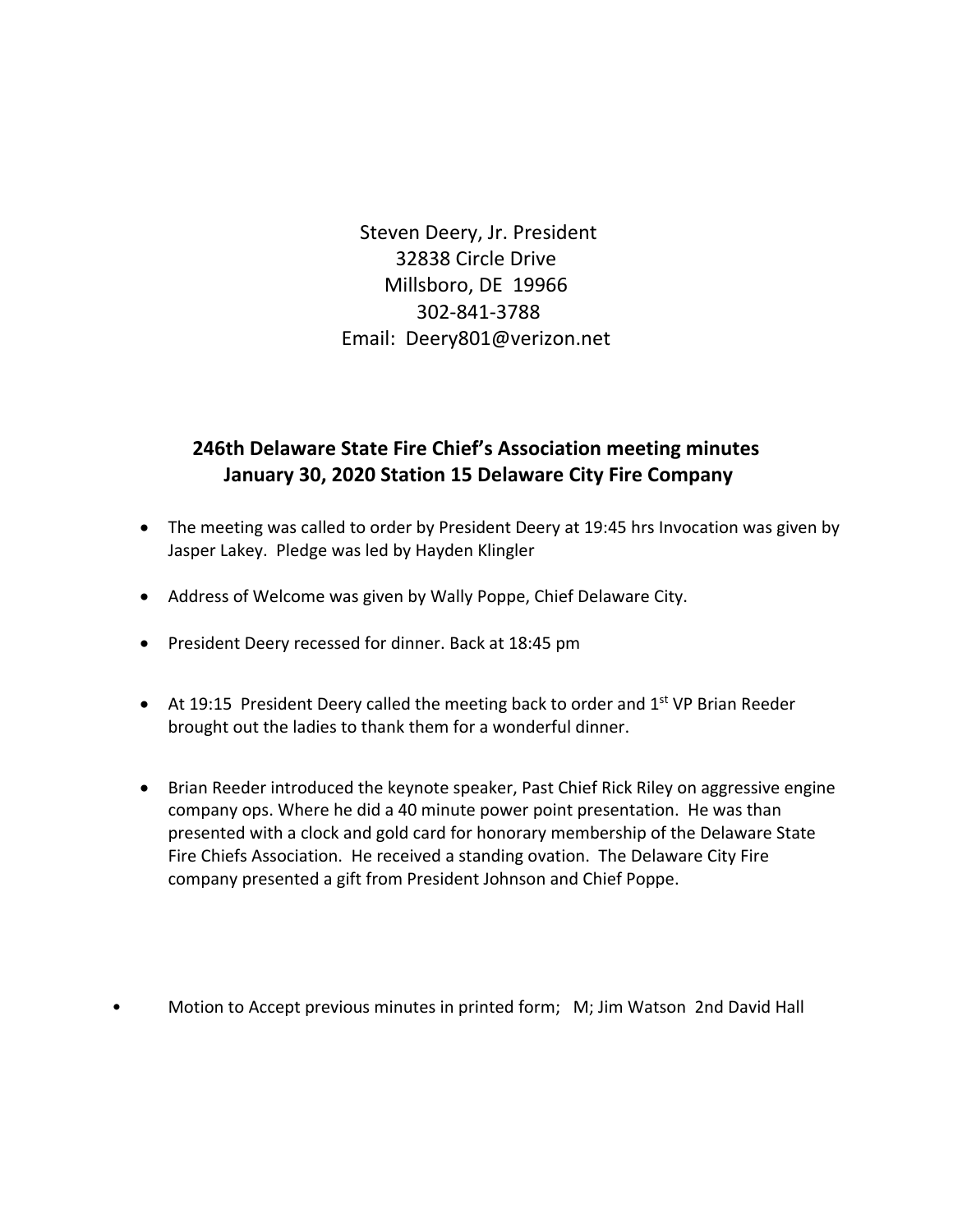Steven Deery, Jr. President 32838 Circle Drive Millsboro, DE 19966 302-841-3788 Email: Deery801@verizon.net

# **246th Delaware State Fire Chief's Association meeting minutes January 30, 2020 Station 15 Delaware City Fire Company**

- The meeting was called to order by President Deery at 19:45 hrs Invocation was given by Jasper Lakey. Pledge was led by Hayden Klingler
- Address of Welcome was given by Wally Poppe, Chief Delaware City.
- President Deery recessed for dinner. Back at 18:45 pm
- At 19:15 President Deery called the meeting back to order and  $1<sup>st</sup>$  VP Brian Reeder brought out the ladies to thank them for a wonderful dinner.
- Brian Reeder introduced the keynote speaker, Past Chief Rick Riley on aggressive engine company ops. Where he did a 40 minute power point presentation. He was than presented with a clock and gold card for honorary membership of the Delaware State Fire Chiefs Association. He received a standing ovation. The Delaware City Fire company presented a gift from President Johnson and Chief Poppe.
- Motion to Accept previous minutes in printed form; M; Jim Watson 2nd David Hall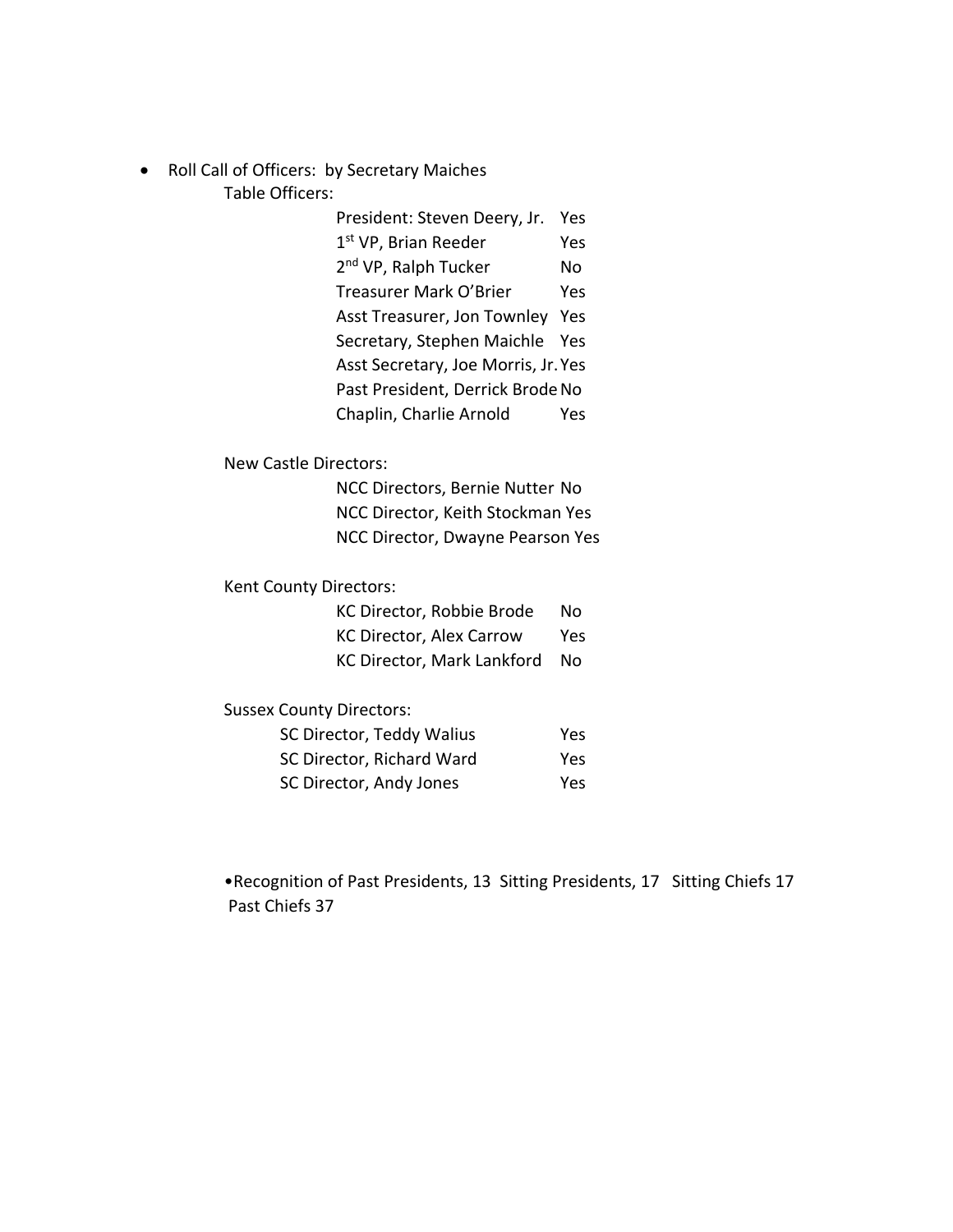• Roll Call of Officers: by Secretary Maiches Table Officers:

> President: Steven Deery, Jr. Yes 1<sup>st</sup> VP, Brian Reeder Yes 2<sup>nd</sup> VP, Ralph Tucker No Treasurer Mark O'Brier Yes Asst Treasurer, Jon Townley Yes Secretary, Stephen Maichle Yes Asst Secretary, Joe Morris, Jr.Yes Past President, Derrick Brode No Chaplin, Charlie Arnold Yes

New Castle Directors:

NCC Directors, Bernie Nutter No NCC Director, Keith Stockman Yes NCC Director, Dwayne Pearson Yes

Kent County Directors:

| KC Director, Robbie Brode       | N٥  |
|---------------------------------|-----|
| <b>KC Director, Alex Carrow</b> | Yes |
| KC Director, Mark Lankford      | Nο  |

Sussex County Directors:

| SC Director, Teddy Walius | Yes |
|---------------------------|-----|
| SC Director, Richard Ward | Yes |
| SC Director, Andy Jones   | Yes |

•Recognition of Past Presidents, 13 Sitting Presidents, 17 Sitting Chiefs 17 Past Chiefs 37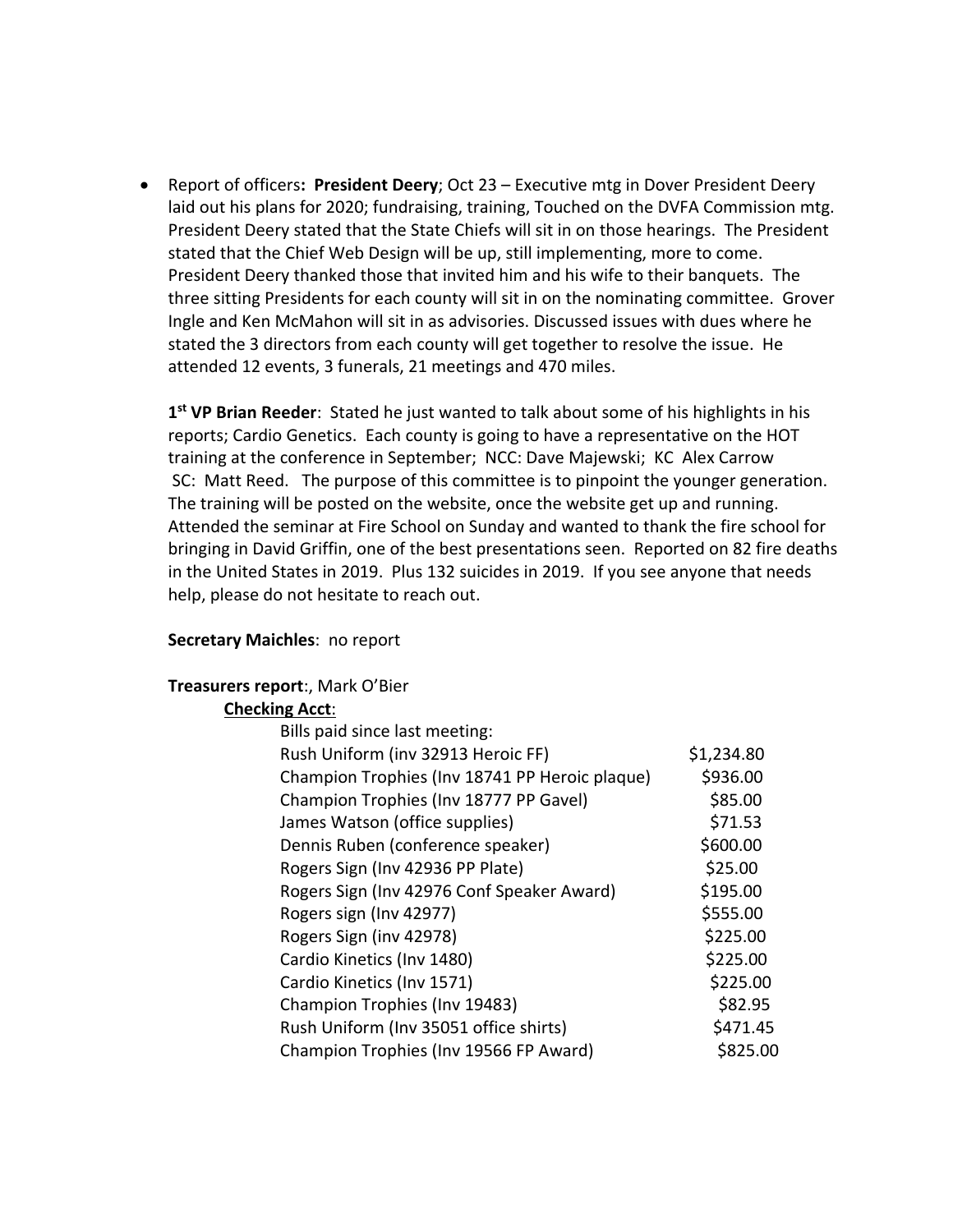• Report of officers**: President Deery**; Oct 23 – Executive mtg in Dover President Deery laid out his plans for 2020; fundraising, training, Touched on the DVFA Commission mtg. President Deery stated that the State Chiefs will sit in on those hearings. The President stated that the Chief Web Design will be up, still implementing, more to come. President Deery thanked those that invited him and his wife to their banquets. The three sitting Presidents for each county will sit in on the nominating committee. Grover Ingle and Ken McMahon will sit in as advisories. Discussed issues with dues where he stated the 3 directors from each county will get together to resolve the issue. He attended 12 events, 3 funerals, 21 meetings and 470 miles.

**1st VP Brian Reeder**: Stated he just wanted to talk about some of his highlights in his reports; Cardio Genetics. Each county is going to have a representative on the HOT training at the conference in September; NCC: Dave Majewski; KC Alex Carrow SC: Matt Reed. The purpose of this committee is to pinpoint the younger generation. The training will be posted on the website, once the website get up and running. Attended the seminar at Fire School on Sunday and wanted to thank the fire school for bringing in David Griffin, one of the best presentations seen. Reported on 82 fire deaths in the United States in 2019. Plus 132 suicides in 2019. If you see anyone that needs help, please do not hesitate to reach out.

# **Secretary Maichles**: no report

## **Treasurers report**:, Mark O'Bier

## **Checking Acct**:

| Bills paid since last meeting:                 |            |
|------------------------------------------------|------------|
| Rush Uniform (inv 32913 Heroic FF)             | \$1,234.80 |
| Champion Trophies (Inv 18741 PP Heroic plaque) | \$936.00   |
| Champion Trophies (Inv 18777 PP Gavel)         | \$85.00    |
| James Watson (office supplies)                 | \$71.53    |
| Dennis Ruben (conference speaker)              | \$600.00   |
| Rogers Sign (Inv 42936 PP Plate)               | \$25.00    |
| Rogers Sign (Inv 42976 Conf Speaker Award)     | \$195.00   |
| Rogers sign (Inv 42977)                        | \$555.00   |
| Rogers Sign (inv 42978)                        | \$225.00   |
| Cardio Kinetics (Inv 1480)                     | \$225.00   |
| Cardio Kinetics (Inv 1571)                     | \$225.00   |
| Champion Trophies (Inv 19483)                  | \$82.95    |
| Rush Uniform (Inv 35051 office shirts)         | \$471.45   |
| Champion Trophies (Inv 19566 FP Award)         | \$825.00   |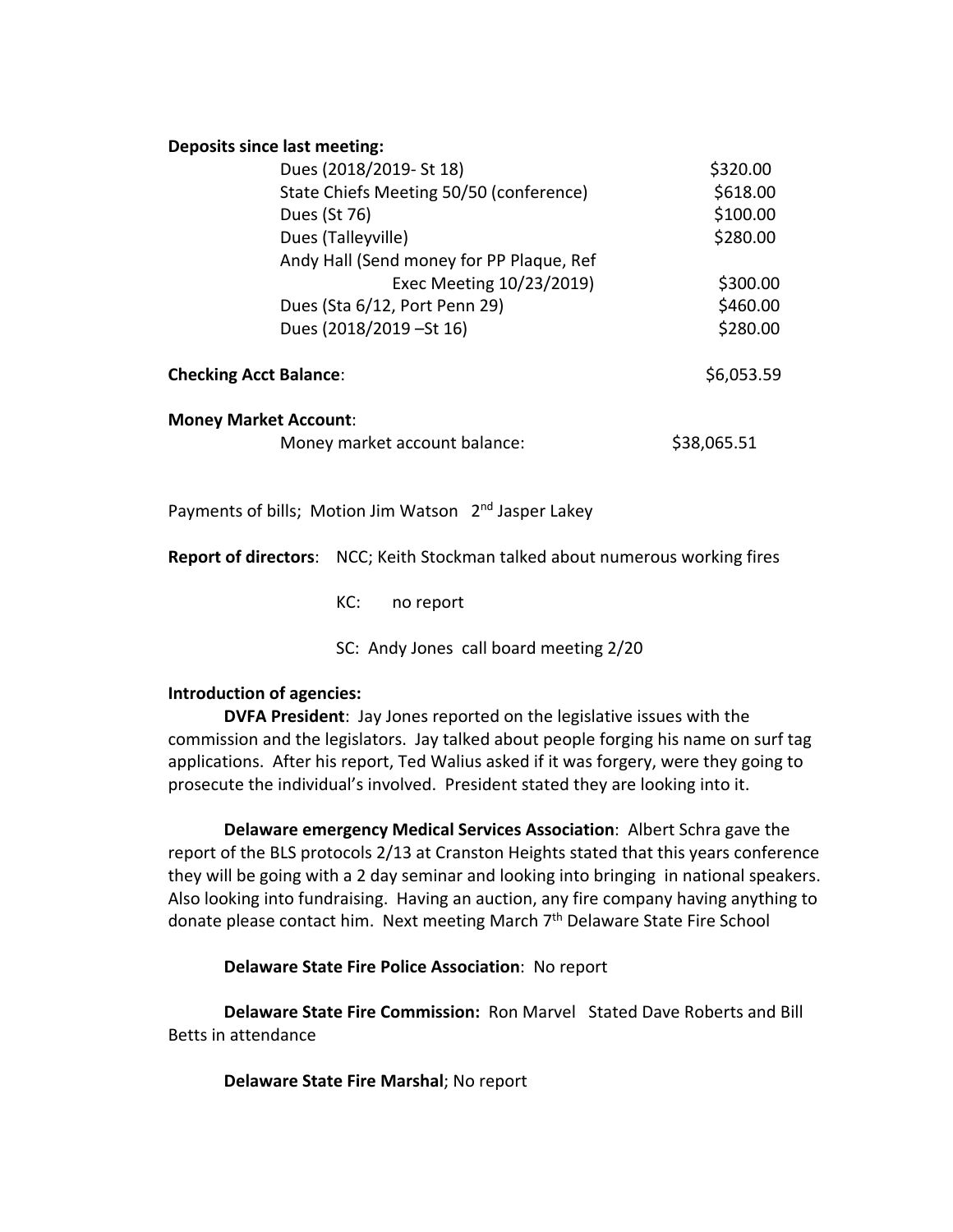#### **Deposits since last meeting:**

| Dues (2018/2019- St 18)                  | \$320.00    |
|------------------------------------------|-------------|
| State Chiefs Meeting 50/50 (conference)  | \$618.00    |
| Dues (St 76)                             | \$100.00    |
| Dues (Talleyville)                       | \$280.00    |
| Andy Hall (Send money for PP Plaque, Ref |             |
| Exec Meeting 10/23/2019)                 | \$300.00    |
| Dues (Sta 6/12, Port Penn 29)            | \$460.00    |
| Dues (2018/2019 - St 16)                 | \$280.00    |
| <b>Checking Acct Balance:</b>            | \$6,053.59  |
| <b>Money Market Account:</b>             |             |
| Money market account balance:            | \$38,065.51 |
|                                          |             |

Payments of bills; Motion Jim Watson 2<sup>nd</sup> Jasper Lakey

**Report of directors**: NCC; Keith Stockman talked about numerous working fires

KC: no report

SC: Andy Jones call board meeting 2/20

## **Introduction of agencies:**

**DVFA President**: Jay Jones reported on the legislative issues with the commission and the legislators. Jay talked about people forging his name on surf tag applications. After his report, Ted Walius asked if it was forgery, were they going to prosecute the individual's involved. President stated they are looking into it.

**Delaware emergency Medical Services Association**: Albert Schra gave the report of the BLS protocols 2/13 at Cranston Heights stated that this years conference they will be going with a 2 day seminar and looking into bringing in national speakers. Also looking into fundraising. Having an auction, any fire company having anything to donate please contact him. Next meeting March 7<sup>th</sup> Delaware State Fire School

**Delaware State Fire Police Association**: No report

**Delaware State Fire Commission:** Ron Marvel Stated Dave Roberts and Bill Betts in attendance

**Delaware State Fire Marshal**; No report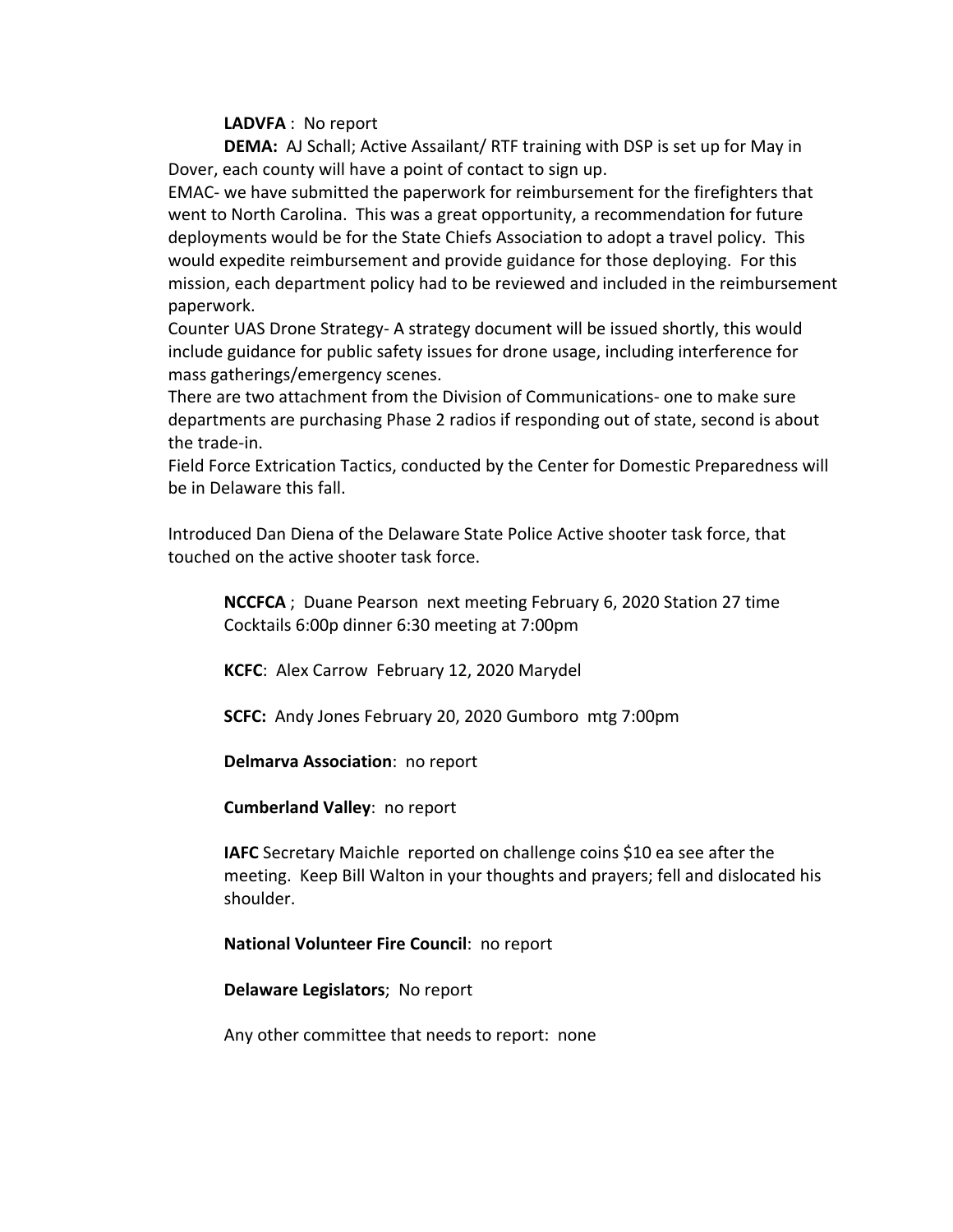## **LADVFA** : No report

**DEMA:** AJ Schall; Active Assailant/ RTF training with DSP is set up for May in Dover, each county will have a point of contact to sign up.

EMAC- we have submitted the paperwork for reimbursement for the firefighters that went to North Carolina. This was a great opportunity, a recommendation for future deployments would be for the State Chiefs Association to adopt a travel policy. This would expedite reimbursement and provide guidance for those deploying. For this mission, each department policy had to be reviewed and included in the reimbursement paperwork.

Counter UAS Drone Strategy- A strategy document will be issued shortly, this would include guidance for public safety issues for drone usage, including interference for mass gatherings/emergency scenes.

There are two attachment from the Division of Communications- one to make sure departments are purchasing Phase 2 radios if responding out of state, second is about the trade-in.

Field Force Extrication Tactics, conducted by the Center for Domestic Preparedness will be in Delaware this fall.

Introduced Dan Diena of the Delaware State Police Active shooter task force, that touched on the active shooter task force.

**NCCFCA** ; Duane Pearson next meeting February 6, 2020 Station 27 time Cocktails 6:00p dinner 6:30 meeting at 7:00pm

**KCFC**: Alex Carrow February 12, 2020 Marydel

**SCFC:** Andy Jones February 20, 2020 Gumboro mtg 7:00pm

**Delmarva Association**: no report

**Cumberland Valley**: no report

**IAFC** Secretary Maichle reported on challenge coins \$10 ea see after the meeting. Keep Bill Walton in your thoughts and prayers; fell and dislocated his shoulder.

# **National Volunteer Fire Council**: no report

**Delaware Legislators**; No report

Any other committee that needs to report: none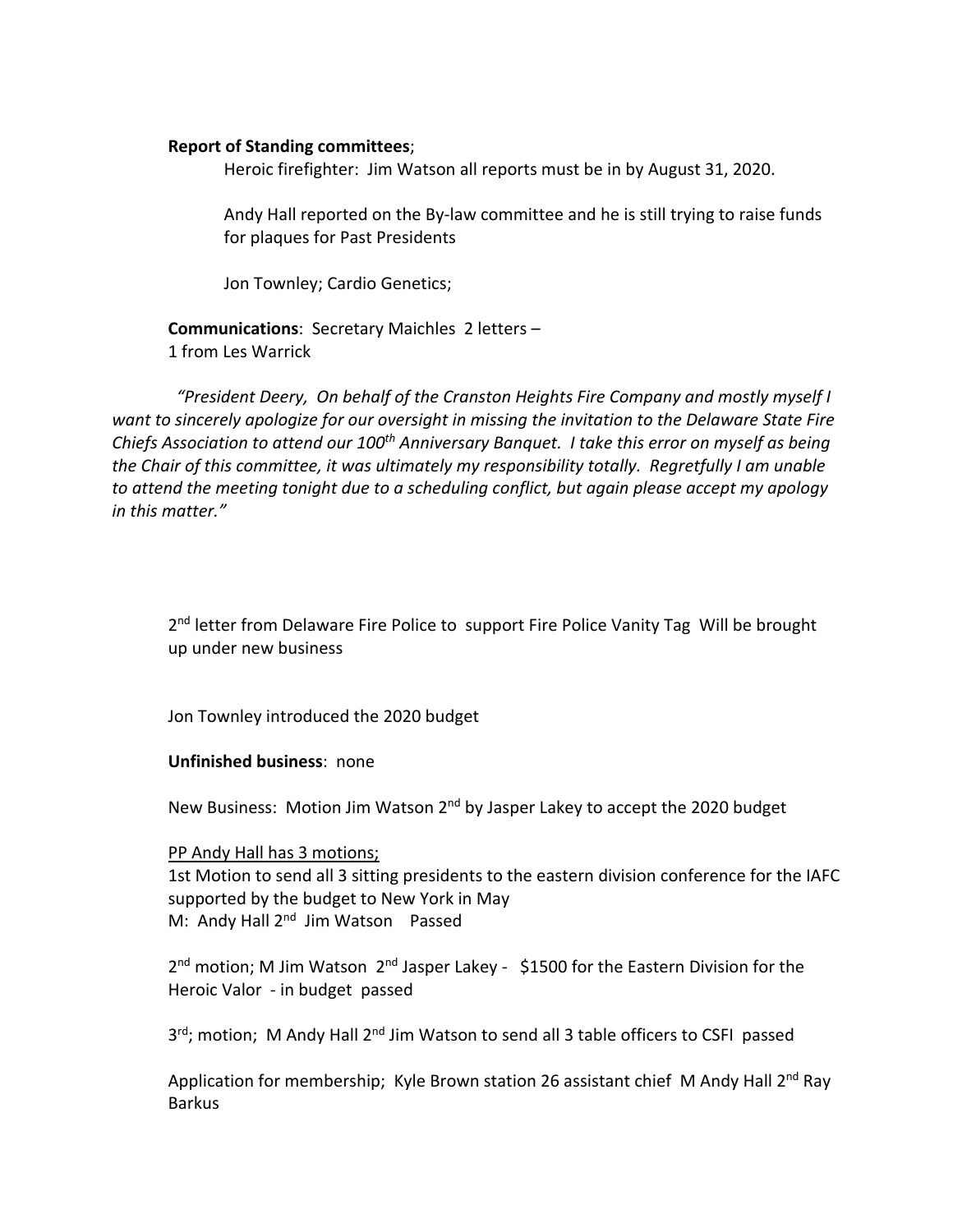## **Report of Standing committees**;

Heroic firefighter: Jim Watson all reports must be in by August 31, 2020.

Andy Hall reported on the By-law committee and he is still trying to raise funds for plaques for Past Presidents

Jon Townley; Cardio Genetics;

**Communications**: Secretary Maichles 2 letters – 1 from Les Warrick

 *"President Deery, On behalf of the Cranston Heights Fire Company and mostly myself I want to sincerely apologize for our oversight in missing the invitation to the Delaware State Fire Chiefs Association to attend our 100th Anniversary Banquet. I take this error on myself as being the Chair of this committee, it was ultimately my responsibility totally. Regretfully I am unable to attend the meeting tonight due to a scheduling conflict, but again please accept my apology in this matter."*

2<sup>nd</sup> letter from Delaware Fire Police to support Fire Police Vanity Tag Will be brought up under new business

Jon Townley introduced the 2020 budget

## **Unfinished business**: none

New Business: Motion Jim Watson 2<sup>nd</sup> by Jasper Lakey to accept the 2020 budget

## PP Andy Hall has 3 motions;

1st Motion to send all 3 sitting presidents to the eastern division conference for the IAFC supported by the budget to New York in May M: Andy Hall 2<sup>nd</sup> Jim Watson Passed

2<sup>nd</sup> motion; M Jim Watson 2<sup>nd</sup> Jasper Lakey - \$1500 for the Eastern Division for the Heroic Valor - in budget passed

3rd; motion; M Andy Hall 2<sup>nd</sup> Jim Watson to send all 3 table officers to CSFI passed

Application for membership; Kyle Brown station 26 assistant chief M Andy Hall 2<sup>nd</sup> Ray Barkus